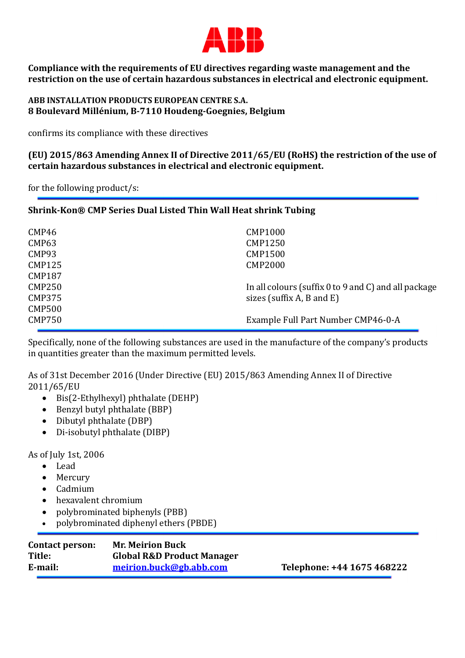

**Compliance with the requirements of EU directives regarding waste management and the restriction on the use of certain hazardous substances in electrical and electronic equipment.** 

**ABB INSTALLATION PRODUCTS EUROPEAN CENTRE S.A. 8 Boulevard Millénium, B-7110 Houdeng-Goegnies, Belgium** 

confirms its compliance with these directives

**(EU) 2015/863 Amending Annex II of Directive 2011/65/EU (RoHS) the restriction of the use of certain hazardous substances in electrical and electronic equipment.** 

for the following product/s:

## **Shrink-Kon® CMP Series Dual Listed Thin Wall Heat shrink Tubing**

| CMP46<br>CMP63 | <b>CMP1000</b><br><b>CMP1250</b>                            |
|----------------|-------------------------------------------------------------|
| CMP93          | <b>CMP1500</b>                                              |
| <b>CMP125</b>  | <b>CMP2000</b>                                              |
| <b>CMP187</b>  |                                                             |
| <b>CMP250</b>  | In all colours (suffix $0$ to $9$ and $C$ ) and all package |
| <b>CMP375</b>  | sizes (suffix A, B and E)                                   |
| <b>CMP500</b>  |                                                             |
| <b>CMP750</b>  | Example Full Part Number CMP46-0-A                          |

Specifically, none of the following substances are used in the manufacture of the company's products in quantities greater than the maximum permitted levels.

As of 31st December 2016 (Under Directive (EU) 2015/863 Amending Annex II of Directive 2011/65/EU

- Bis(2-Ethylhexyl) phthalate (DEHP)
- Benzyl butyl phthalate (BBP)
- Dibutyl phthalate (DBP)
- Di-isobutyl phthalate (DIBP)

As of July 1st, 2006

- Lead
- Mercury
- Cadmium
- hexavalent chromium
- polybrominated biphenyls (PBB)
- polybrominated diphenyl ethers (PBDE)

| <b>Contact person:</b><br>Title: | <b>Mr. Meirion Buck</b><br><b>Global R&amp;D Product Manager</b> |                            |
|----------------------------------|------------------------------------------------------------------|----------------------------|
| E-mail:                          | meirion.buck@gb.abb.com                                          | Telephone: +44 1675 468222 |